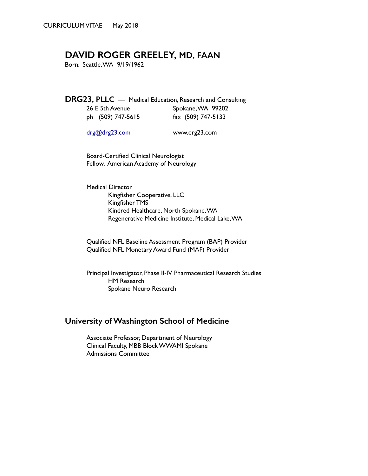# **DAVID ROGER GREELEY, MD, FAAN**

Born: Seattle, WA 9/19/1962

 **DRG23, PLLC** — Medical Education, Research and Consulting 26 E 5th Avenue Spokane, WA 99202

| Z6 E Sth Avenue   | Spokane, VVA 99202 |  |
|-------------------|--------------------|--|
| ph (509) 747-5615 | fax (509) 747-5133 |  |

[drg@drg23.com](mailto:drg@drg23.com) www.drg23.com

Board-Certified Clinical Neurologist Fellow, American Academy of Neurology

Medical Director Kingfisher Cooperative, LLC Kingfisher TMS Kindred Healthcare, North Spokane, WA Regenerative Medicine Institute, Medical Lake, WA

Qualified NFL Baseline Assessment Program (BAP) Provider Qualified NFL Monetary Award Fund (MAF) Provider

Principal Investigator, Phase II-IV Pharmaceutical Research Studies HM Research Spokane Neuro Research

# **University of Washington School of Medicine**

Associate Professor, Department of Neurology Clinical Faculty, MBB Block WWAMI Spokane Admissions Committee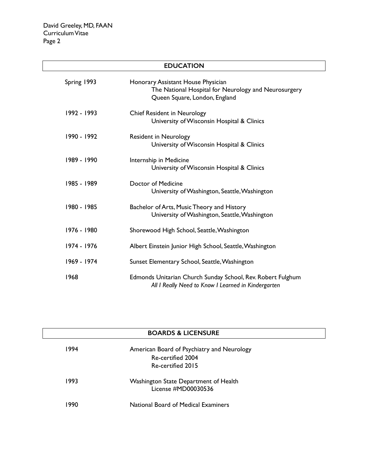| <b>EDUCATION</b> |                                                                                                                             |  |  |
|------------------|-----------------------------------------------------------------------------------------------------------------------------|--|--|
| Spring 1993      | Honorary Assistant House Physician<br>The National Hospital for Neurology and Neurosurgery<br>Queen Square, London, England |  |  |
| 1992 - 1993      | <b>Chief Resident in Neurology</b><br>University of Wisconsin Hospital & Clinics                                            |  |  |
| 1990 - 1992      | <b>Resident in Neurology</b><br>University of Wisconsin Hospital & Clinics                                                  |  |  |
| 1989 - 1990      | Internship in Medicine<br>University of Wisconsin Hospital & Clinics                                                        |  |  |
| 1985 - 1989      | Doctor of Medicine<br>University of Washington, Seattle, Washington                                                         |  |  |
| 1980 - 1985      | Bachelor of Arts, Music Theory and History<br>University of Washington, Seattle, Washington                                 |  |  |
| 1976 - 1980      | Shorewood High School, Seattle, Washington                                                                                  |  |  |
| 1974 - 1976      | Albert Einstein Junior High School, Seattle, Washington                                                                     |  |  |
| 1969 - 1974      | Sunset Elementary School, Seattle, Washington                                                                               |  |  |
| 1968             | Edmonds Unitarian Church Sunday School, Rev. Robert Fulghum<br>All I Really Need to Know I Learned in Kindergarten          |  |  |

| <b>BOARDS &amp; LICENSURE</b> |                                                                                      |  |  |
|-------------------------------|--------------------------------------------------------------------------------------|--|--|
| 1994                          | American Board of Psychiatry and Neurology<br>Re-certified 2004<br>Re-certified 2015 |  |  |
| 1993                          | Washington State Department of Health<br>License #MD00030536                         |  |  |
| 1990                          | <b>National Board of Medical Examiners</b>                                           |  |  |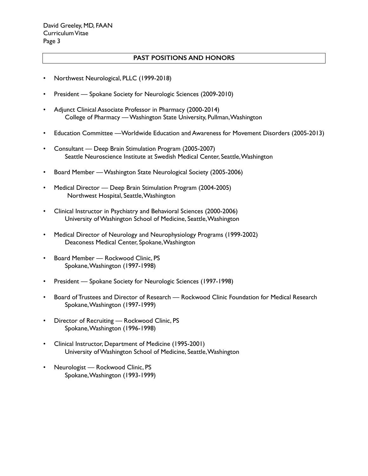### **PAST POSITIONS AND HONORS**

- Northwest Neurological, PLLC (1999-2018)
- President Spokane Society for Neurologic Sciences (2009-2010)
- Adjunct Clinical Associate Professor in Pharmacy (2000-2014) College of Pharmacy — Washington State University, Pullman, Washington
- Education Committee —Worldwide Education and Awareness for Movement Disorders (2005-2013)
- Consultant Deep Brain Stimulation Program (2005-2007) Seattle Neuroscience Institute at Swedish Medical Center, Seattle, Washington
- Board Member Washington State Neurological Society (2005-2006)
- Medical Director Deep Brain Stimulation Program (2004-2005) Northwest Hospital, Seattle, Washington
- Clinical Instructor in Psychiatry and Behavioral Sciences (2000-2006) University of Washington School of Medicine, Seattle, Washington
- Medical Director of Neurology and Neurophysiology Programs (1999-2002) Deaconess Medical Center, Spokane, Washington
- Board Member Rockwood Clinic, PS Spokane, Washington (1997-1998)
- President Spokane Society for Neurologic Sciences (1997-1998)
- Board of Trustees and Director of Research Rockwood Clinic Foundation for Medical Research Spokane, Washington (1997-1999)
- Director of Recruiting Rockwood Clinic, PS Spokane, Washington (1996-1998)
- Clinical Instructor, Department of Medicine (1995-2001) University of Washington School of Medicine, Seattle, Washington
- Neurologist Rockwood Clinic, PS Spokane, Washington (1993-1999)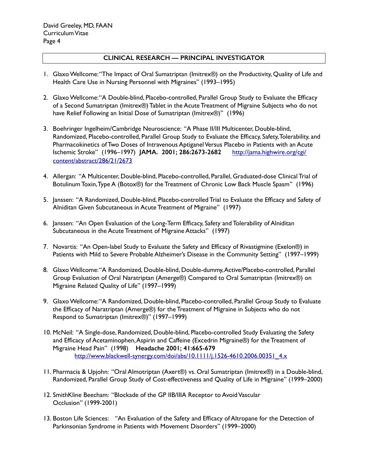# **CLINICAL RESEARCH — PRINCIPAL INVESTIGATOR**

- 1. Glaxo Wellcome: "The Impact of Oral Sumatriptan (Imitrex®) on the Productivity, Quality of Life and Health Care Use in Nursing Personnel with Migraines" (1993–1995)
- 2. Glaxo Wellcome: "A Double-blind, Placebo-controlled, Parallel Group Study to Evaluate the Efficacy of a Second Sumatriptan (Imitrex®) Tablet in the Acute Treatment of Migraine Subjects who do not have Relief Following an Initial Dose of Sumatriptan (Imitrex®)" (1996)
- 3. Boehringer Ingelheim/Cambridge Neuroscience: "A Phase II/III Multicenter, Double-blind, Randomized, Placebo-controlled, Parallel Group Study to Evaluate the Efficacy, Safety, Tolerability, and Pharmacokinetics of Two Doses of Intravenous Aptiganel Versus Placebo in Patients with an Acute Ischemic Stroke" (1996–1997) **JAMA. 2001; 286:2673-2682** http://jama.highwire.org/cgi/ content/abstract/286/21/2673
- 4. Allergan: "A Multicenter, Double-blind, Placebo-controlled, Parallel, Graduated-dose Clinical Trial of Botulinum Toxin, Type A (Botox®) for the Treatment of Chronic Low Back Muscle Spasm" (1996)
- 5. Janssen: "A Randomized, Double-blind, Placebo-controlled Trial to Evaluate the Efficacy and Safety of Alniditan Given Subcutaneous in Acute Treatment of Migraine" (1997)
- 6. Janssen: "An Open Evaluation of the Long-Term Efficacy, Safety and Tolerability of Alniditan Subcutaneous in the Acute Treatment of Migraine Attacks" (1997)
- 7. Novartis: "An Open-label Study to Evaluate the Safety and Efficacy of Rivastigmine (Exelon®) in Patients with Mild to Severe Probable Alzheimer's Disease in the Community Setting" (1997–1999)
- 8. Glaxo Wellcome: "A Randomized, Double-blind, Double-dummy, Active/Placebo-controlled, Parallel Group Evaluation of Oral Naratriptan (Amerge®) Compared to Oral Sumatriptan (Imitrex®) on Migraine Related Quality of Life" (1997–1999)
- 9. Glaxo Wellcome: "A Randomized, Double-blind, Placebo-controlled, Parallel Group Study to Evaluate the Efficacy of Naratriptan (Amerge®) for the Treatment of Migraine in Subjects who do not Respond to Sumatriptan (Imitrex®)" (1997–1999)
- 10. McNeil: "A Single-dose, Randomized, Double-blind, Placebo-controlled Study Evaluating the Safety and Efficacy of Acetaminophen, Aspirin and Caffeine (Excedrin Migraine®) for the Treatment of Migraine Head Pain" (1998) **Headache 2001; 41:665-679**  [http://www.blackwell-synergy.com/doi/abs/10.1111/j.1526-4610.2006.00351\\_4.x](http://www.blackwell-synergy.com/doi/abs/10.1111/j.1526-4610.2006.00351_4.x)
- 11. Pharmacia & Upjohn: "Oral Almotriptan (Axert®) vs. Oral Sumatriptan (Imitrex®) in a Double-blind, Randomized, Parallel Group Study of Cost-effectiveness and Quality of Life in Migraine" (1999–2000)
- 12. SmithKline Beecham: "Blockade of the GP IIB/IIIA Receptor to Avoid Vascular Occlusion" (1999-2001)
- 13. Boston Life Sciences: "An Evaluation of the Safety and Efficacy of Altropane for the Detection of Parkinsonian Syndrome in Patients with Movement Disorders" (1999–2000)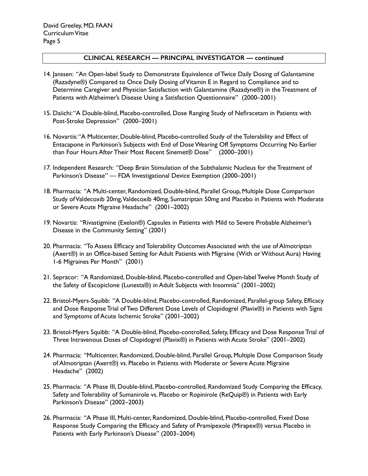- 14. Janssen: "An Open-label Study to Demonstrate Equivalence of Twice Daily Dosing of Galantamine (Razadyne®) Compared to Once Daily Dosing of Vitamin E in Regard to Compliance and to Determine Caregiver and Physician Satisfaction with Galantamine (Razadyne®) in the Treatment of Patients with Alzheimer's Disease Using a Satisfaction Questionnaire" (2000–2001)
- 15. Daiichi: "A Double-blind, Placebo-controlled, Dose Ranging Study of Nefiracetam in Patients with Post-Stroke Depression" (2000–2001)
- 16. Novartis: "A Multicenter, Double-blind, Placebo-controlled Study of the Tolerability and Effect of Entacapone in Parkinson's Subjects with End of Dose Wearing Off Symptoms Occurring No Earlier than Four Hours After Their Most Recent Sinemet® Dose" (2000–2001)
- 17. Independent Research: "Deep Brain Stimulation of the Subthalamic Nucleus for the Treatment of Parkinson's Disease" — FDA Investigational Device Exemption (2000–2001)
- 18. Pharmacia: "A Multi-center, Randomized, Double-blind, Parallel Group, Multiple Dose Comparison Study of Valdecoxib 20mg, Valdecoxib 40mg, Sumatriptan 50mg and Placebo in Patients with Moderate or Severe Acute Migraine Headache" (2001–2002)
- 19. Novartis: "Rivastigmine (Exelon®) Capsules in Patients with Mild to Severe Probable Alzheimer's Disease in the Community Setting" (2001)
- 20. Pharmacia: "To Assess Efficacy and Tolerability Outcomes Associated with the use of Almotriptan (Axert®) in an Office-based Setting for Adult Patients with Migraine (With or Without Aura) Having 1-6 Migraines Per Month" (2001)
- 21. Sepracor: "A Randomized, Double-blind, Placebo-controlled and Open-label Twelve Month Study of the Safety of Escopiclone (Lunesta®) in Adult Subjects with Insomnia" (2001–2002)
- 22. Bristol-Myers-Squibb: "A Double-blind, Placebo-controlled, Randomized, Parallel-group Safety, Efficacy and Dose Response Trial of Two Different Dose Levels of Clopidogrel (Plavix®) in Patients with Signs and Symptoms of Acute Ischemic Stroke" (2001–2002)
- 23. Bristol-Myers Squibb: "A Double-blind, Placebo-controlled, Safety, Efficacy and Dose Response Trial of Three Intravenous Doses of Clopidogrel (Plavix®) in Patients with Acute Stroke" (2001–2002)
- 24. Pharmacia: "Multicenter, Randomized, Double-blind, Parallel Group, Multiple Dose Comparison Study of Almotriptan (Axert®) vs. Placebo in Patients with Moderate or Severe Acute Migraine Headache" (2002)
- 25. Pharmacia: "A Phase III, Double-blind, Placebo-controlled, Randomized Study Comparing the Efficacy, Safety and Tolerability of Sumanirole vs. Placebo or Ropinirole (ReQuip®) in Patients with Early Parkinson's Disease" (2002–2003)
- 26. Pharmacia: "A Phase III, Multi-center, Randomized, Double-blind, Placebo-controlled, Fixed Dose Response Study Comparing the Efficacy and Safety of Pramipexole (Mirapex®) versus Placebo in Patients with Early Parkinson's Disease" (2003–2004)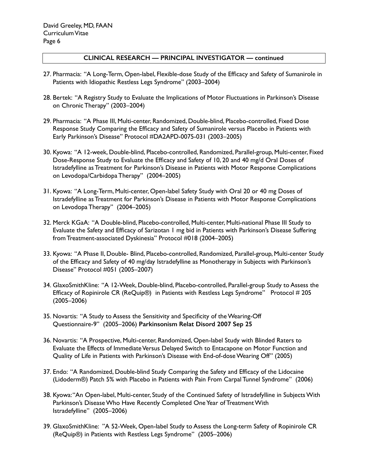- 27. Pharmacia: "A Long-Term, Open-label, Flexible-dose Study of the Efficacy and Safety of Sumanirole in Patients with Idiopathic Restless Legs Syndrome" (2003–2004)
- 28. Bertek: "A Registry Study to Evaluate the Implications of Motor Fluctuations in Parkinson's Disease on Chronic Therapy" (2003–2004)
- 29. Pharmacia: "A Phase III, Multi-center, Randomized, Double-blind, Placebo-controlled, Fixed Dose Response Study Comparing the Efficacy and Safety of Sumanirole versus Placebo in Patients with Early Parkinson's Disease" Protocol #DA2APD-0075-031 (2003–2005)
- 30. Kyowa: "A 12-week, Double-blind, Placebo-controlled, Randomized, Parallel-group, Multi-center, Fixed Dose-Response Study to Evaluate the Efficacy and Safety of 10, 20 and 40 mg/d Oral Doses of Istradefylline as Treatment for Parkinson's Disease in Patients with Motor Response Complications on Levodopa/Carbidopa Therapy" (2004–2005)
- 31. Kyowa: "A Long-Term, Multi-center, Open-label Safety Study with Oral 20 or 40 mg Doses of Istradefylline as Treatment for Parkinson's Disease in Patients with Motor Response Complications on Levodopa Therapy" (2004–2005)
- 32. Merck KGaA: "A Double-blind, Placebo-controlled, Multi-center, Multi-national Phase III Study to Evaluate the Safety and Efficacy of Sarizotan 1 mg bid in Patients with Parkinson's Disease Suffering from Treatment-associated Dyskinesia" Protocol #018 (2004–2005)
- 33. Kyowa: "A Phase II, Double- Blind, Placebo-controlled, Randomized, Parallel-group, Multi-center Study of the Efficacy and Safety of 40 mg/day Istradefylline as Monotherapy in Subjects with Parkinson's Disease" Protocol #051 (2005–2007)
- 34. GlaxoSmithKline: "A 12-Week, Double-blind, Placebo-controlled, Parallel-group Study to Assess the Efficacy of Ropinirole CR (ReQuip®) in Patients with Restless Legs Syndrome" Protocol # 205 (2005–2006)
- 35. Novartis: "A Study to Assess the Sensitivity and Specificity of the Wearing-Off Questionnaire-9" (2005–2006) **Parkinsonism Relat Disord 2007 Sep 25**
- 36. Novartis: "A Prospective, Multi-center, Randomized, Open-label Study with Blinded Raters to Evaluate the Effects of Immediate Versus Delayed Switch to Entacapone on Motor Function and Quality of Life in Patients with Parkinson's Disease with End-of-dose Wearing Off" (2005)
- 37. Endo: "A Randomized, Double-blind Study Comparing the Safety and Efficacy of the Lidocaine (Lidoderm®) Patch 5% with Placebo in Patients with Pain From Carpal Tunnel Syndrome" (2006)
- 38. Kyowa: "An Open-label, Multi-center, Study of the Continued Safety of Istradefylline in Subjects With Parkinson's Disease Who Have Recently Completed One Year of Treatment With Istradefylline" (2005–2006)
- 39. GlaxoSmithKline: "A 52-Week, Open-label Study to Assess the Long-term Safety of Ropinirole CR (ReQuip®) in Patients with Restless Legs Syndrome" (2005–2006)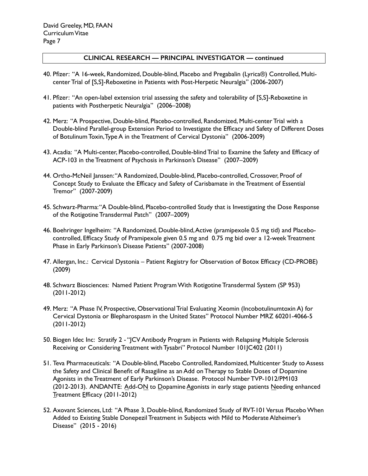- 40. Pfizer: "A 16-week, Randomized, Double-blind, Placebo and Pregabalin (Lyrica®) Controlled, Multicenter Trial of [S,S]-Reboxetine in Patients with Post-Herpetic Neuralgia" (2006-2007)
- 41. Pfizer: "An open-label extension trial assessing the safety and tolerability of [S,S]-Reboxetine in patients with Postherpetic Neuralgia" (2006–2008)
- 42. Merz: "A Prospective, Double-blind, Placebo-controlled, Randomized, Multi-center Trial with a Double-blind Parallel-group Extension Period to Investigate the Efficacy and Safety of Different Doses of Botulinum Toxin, Type A in the Treatment of Cervical Dystonia" (2006-2009)
- 43. Acadia: "A Multi-center, Placebo-controlled, Double-blind Trial to Examine the Safety and Efficacy of ACP-103 in the Treatment of Psychosis in Parkinson's Disease" (2007–2009)
- 44. Ortho-McNeil Janssen: "A Randomized, Double-blind, Placebo-controlled, Crossover, Proof of Concept Study to Evaluate the Efficacy and Safety of Carisbamate in the Treatment of Essential Tremor" (2007-2009)
- 45. Schwarz-Pharma: "A Double-blind, Placebo-controlled Study that is Investigating the Dose Response of the Rotigotine Transdermal Patch" (2007–2009)
- 46. Boehringer Ingelheim: "A Randomized, Double-blind, Active (pramipexole 0.5 mg tid) and Placebocontrolled, Efficacy Study of Pramipexole given 0.5 mg and 0.75 mg bid over a 12-week Treatment Phase in Early Parkinson's Disease Patients" (2007-2008)
- 47. Allergan, Inc.: Cervical Dystonia Patient Registry for Observation of Botox Efficacy (CD-PROBE) (2009)
- 48. Schwarz Biosciences: Named Patient Program With Rotigotine Transdermal System (SP 953) (2011-2012)
- 49. Merz: "A Phase IV, Prospective, Observational Trial Evaluating Xeomin (Incobotulinumtoxin A) for Cervical Dystonia or Blepharospasm in the United States" Protocol Number MRZ 60201-4066-5 (2011-2012)
- 50. Biogen Idec Inc: Stratify 2 "JCV Antibody Program in Patients with Relapsing Multiple Sclerosis Receiving or Considering Treatment with Tysabri" Protocol Number 101JC402 (2011)
- 51. Teva Pharmaceuticals: "A Double-blind, Placebo Controlled, Randomized, Multicenter Study to Assess the Safety and Clinical Benefit of Rasagiline as an Add on Therapy to Stable Doses of Dopamine Agonists in the Treatment of Early Parkinson's Disease. Protocol Number TVP-1012/PM103 (2012-2013). ANDANTE: Add-ON to Dopamine Agonists in early stage patients Needing enhanced Treatment Efficacy (2011-2012)
- 52. Axovant Sciences, Ltd: "A Phase 3, Double-blind, Randomized Study of RVT-101 Versus Placebo When Added to Existing Stable Donepezil Treatment in Subjects with Mild to Moderate Alzheimer's Disease" (2015 - 2016)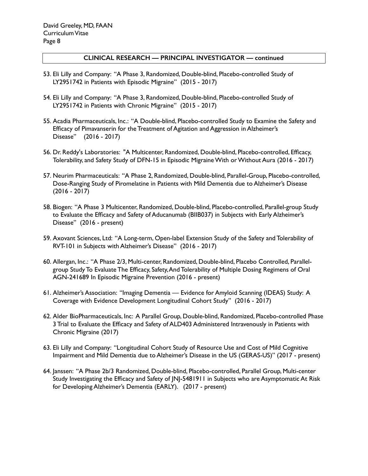- 53. Eli Lilly and Company: "A Phase 3, Randomized, Double-blind, Placebo-controlled Study of LY2951742 in Patients with Episodic Migraine" (2015 - 2017)
- 54. Eli Lilly and Company: "A Phase 3, Randomized, Double-blind, Placebo-controlled Study of LY2951742 in Patients with Chronic Migraine" (2015 - 2017)
- 55. Acadia Pharmaceuticals, Inc.: "A Double-blind, Placebo-controlled Study to Examine the Safety and Efficacy of Pimavanserin for the Treatment of Agitation and Aggression in Alzheimer's Disease" (2016 - 2017)
- 56. Dr. Reddy's Laboratories: "A Multicenter, Randomized, Double-blind, Placebo-controlled, Efficacy, Tolerability, and Safety Study of DFN-15 in Episodic Migraine With or Without Aura (2016 - 2017)
- 57. Neurim Pharmaceuticals: "A Phase 2, Randomized, Double-blind, Parallel-Group, Placebo-controlled, Dose-Ranging Study of Piromelatine in Patients with Mild Dementia due to Alzheimer's Disease (2016 - 2017)
- 58. Biogen: "A Phase 3 Multicenter, Randomized, Double-blind, Placebo-controlled, Parallel-group Study to Evaluate the Efficacy and Safety of Aducanumab (BIIB037) in Subjects with Early Alzheimer's Disease" (2016 - present)
- 59. Axovant Sciences, Ltd: "A Long-term, Open-label Extension Study of the Safety and Tolerability of RVT-101 in Subjects with Alzheimer's Disease" (2016 - 2017)
- 60. Allergan, Inc.: "A Phase 2/3, Multi-center, Randomized, Double-blind, Placebo Controlled, Parallelgroup Study To Evaluate The Efficacy, Safety, And Tolerability of Multiple Dosing Regimens of Oral AGN-241689 In Episodic Migraine Prevention (2016 - present)
- 61. Alzheimer's Association: "Imaging Dementia Evidence for Amyloid Scanning (IDEAS) Study: A Coverage with Evidence Development Longitudinal Cohort Study" (2016 - 2017)
- 62. Alder BioPharmaceuticals, Inc: A Parallel Group, Double-blind, Randomized, Placebo-controlled Phase 3 Trial to Evaluate the Efficacy and Safety of ALD403 Administered Intravenously in Patients with Chronic Migraine (2017)
- 63. Eli Lilly and Company: "Longitudinal Cohort Study of Resource Use and Cost of Mild Cognitive Impairment and Mild Dementia due to Alzheimer's Disease in the US (GERAS-US)" (2017 - present)
- 64. Janssen: "A Phase 2b/3 Randomized, Double-blind, Placebo-controlled, Parallel Group, Multi-center Study Investigating the Efficacy and Safety of JNJ-5481911 in Subjects who are Asymptomatic At Risk for Developing Alzheimer's Dementia (EARLY). (2017 - present)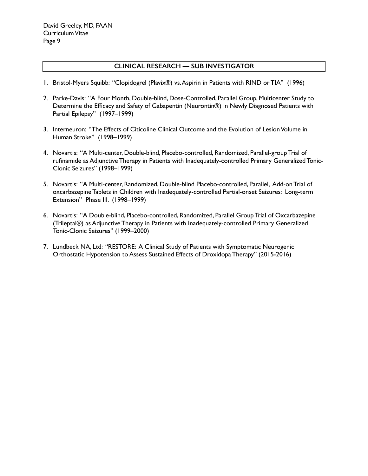## **CLINICAL RESEARCH — SUB INVESTIGATOR**

- 1. Bristol-Myers Squibb: "Clopidogrel (Plavix®) vs. Aspirin in Patients with RIND or TIA" (1996)
- 2. Parke-Davis: "A Four Month, Double-blind, Dose-Controlled, Parallel Group, Multicenter Study to Determine the Efficacy and Safety of Gabapentin (Neurontin®) in Newly Diagnosed Patients with Partial Epilepsy" (1997–1999)
- 3. Interneuron: "The Effects of Citicoline Clinical Outcome and the Evolution of Lesion Volume in Human Stroke" (1998–1999)
- 4. Novartis: "A Multi-center, Double-blind, Placebo-controlled, Randomized, Parallel-group Trial of rufinamide as Adjunctive Therapy in Patients with Inadequately-controlled Primary Generalized Tonic-Clonic Seizures" (1998–1999)
- 5. Novartis: "A Multi-center, Randomized, Double-blind Placebo-controlled, Parallel, Add-on Trial of oxcarbazepine Tablets in Children with Inadequately-controlled Partial-onset Seizures: Long-term Extension" Phase III. (1998–1999)
- 6. Novartis: "A Double-blind, Placebo-controlled, Randomized, Parallel Group Trial of Oxcarbazepine (Trileptal®) as Adjunctive Therapy in Patients with Inadequately-controlled Primary Generalized Tonic-Clonic Seizures" (1999–2000)
- 7. Lundbeck NA, Ltd: "RESTORE: A Clinical Study of Patients with Symptomatic Neurogenic Orthostatic Hypotension to Assess Sustained Effects of Droxidopa Therapy" (2015-2016)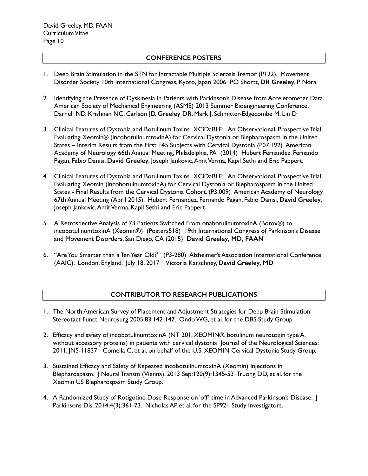# **CONFERENCE POSTERS**

- 1. Deep Brain Stimulation in the STN for Intractable Multiple Sclerosis Tremor (P122). Movement Disorder Society 10th International Congress, Kyoto, Japan 2006 PO Shortt, **DR Greeley**, P Nora
- 2. Identifying the Presence of Dyskinesia in Patients with Parkinson's Disease from Accelerometer Data. American Society of Mechanical Engineering (ASME) 2013 Summer Bioengineering Conference. Darnell ND, Krishnan NC, Carlson JD, **Greeley DR**, Mark J, Schmitter-Edgecombe M, Lin D
- 3. Clinical Features of Dystonia and Botulinum Toxins XCiDaBLE: An Observational, Prospective Trial Evaluating Xeomin® (incobotulinumtoxinA) for Cervical Dystonia or Blepharospasm in the United States – Interim Results from the First 145 Subjects with Cervical Dystonia (P07.192) American Academy of Neurology 66th Annual Meeting, Philadelphia, PA (2014) Hubert Fernandez, Fernando Pagan, Fabio Danisi, **David Greeley**, Joseph Jankovic, Amit Verma, Kapil Sethi and Eric Pappert.
- 4. Clinical Features of Dystonia and Botulinum Toxins XCiDaBLE: An Observational, Prospective Trial Evaluating Xeomin (incobotulinumtoxinA) for Cervical Dystonia or Blepharospasm in the United States - Final Results from the Cervical Dystonia Cohort. (P3.009) American Academy of Neurology 67th Annual Meeting (April 2015). Hubert Fernandez, Fernando Pagan, Fabio Danisi, **David Greeley**, Joseph Jankovic, Amit Verma, Kapil Sethi and Eric Pappert
- 5. A Retrospective Analysis of 73 Patients Switched From onabotulinumtoxinA (Botox®) to incobotulinumtoxinA (Xeomin®) (Posters518) 19th International Congress of Parkinson's Disease and Movement Disorders, San Diego, CA (2015) **David Greeley, MD, FAAN**
- 6. "Are You Smarter than a Ten Year Old?" (P3-280) Alzheimer's Association International Conference (AAIC). London, England, July 18, 2017 Victoria Karschney, **David Greeley, MD**

# **CONTRIBUTOR TO RESEARCH PUBLICATIONS**

- 1. The North American Survey of Placement and Adjustment Strategies for Deep Brain Stimulation. Stereotact Funct Neurosurg 2005;83:142-147. Ondo WG, et al. for the DBS Study Group.
- 2. Efficacy and safety of incobotulinumtoxinA (NT 201, XEOMIN®, botulinum neurotoxin type A, without accessory proteins) in patients with cervical dystonia Journal of the Neurological Sciences: 2011, JNS-11837 Comella C, et al. on behalf of the U.S. XEOMIN Cervical Dystonia Study Group.
- 3. Sustained Efficacy and Safety of Repeated incobotulinumtoxinA (Xeomin) Injections in Blepharospasm. J Neural Transm (Vienna). 2013 Sep;120(9):1345-53 Truong DD, et al. for the Xeomin US Blepharospasm Study Group.
- 4. A Randomized Study of Rotigotine Dose Response on 'off' time in Advanced Parkinson's Disease. J Parkinsons Dis. 2014;4(3):361-73. Nicholas AP, et al. for the SP921 Study Investigators.